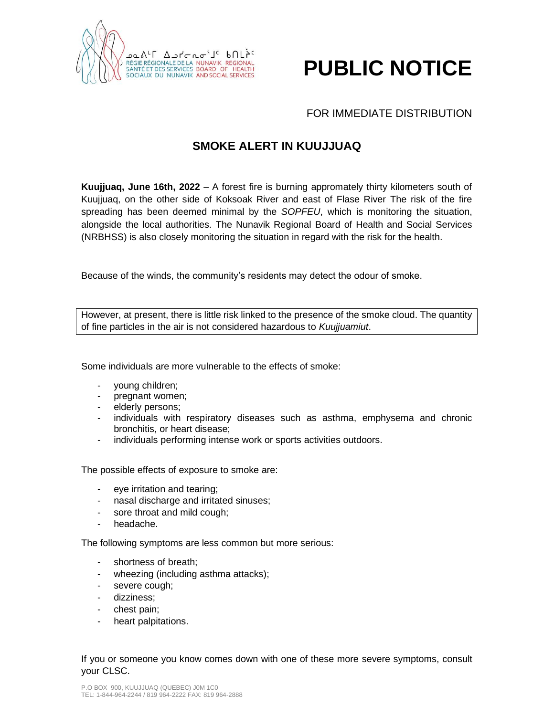

## **PUBLIC NOTICE**

## FOR IMMEDIATE DISTRIBUTION

## **SMOKE ALERT IN KUUJJUAQ**

**Kuujjuaq, June 16th, 2022** – A forest fire is burning appromately thirty kilometers south of Kuujjuaq, on the other side of Koksoak River and east of Flase River The risk of the fire spreading has been deemed minimal by the *SOPFEU*, which is monitoring the situation, alongside the local authorities. The Nunavik Regional Board of Health and Social Services (NRBHSS) is also closely monitoring the situation in regard with the risk for the health.

Because of the winds, the community's residents may detect the odour of smoke.

However, at present, there is little risk linked to the presence of the smoke cloud. The quantity of fine particles in the air is not considered hazardous to *Kuujjuamiut*.

Some individuals are more vulnerable to the effects of smoke:

- young children;
- pregnant women;
- elderly persons;
- individuals with respiratory diseases such as asthma, emphysema and chronic bronchitis, or heart disease;
- individuals performing intense work or sports activities outdoors.

The possible effects of exposure to smoke are:

- eye irritation and tearing;
- nasal discharge and irritated sinuses;
- sore throat and mild cough;
- headache.

The following symptoms are less common but more serious:

- shortness of breath;
- wheezing (including asthma attacks);
- severe cough;
- dizziness;
- chest pain;
- heart palpitations.

If you or someone you know comes down with one of these more severe symptoms, consult your CLSC.